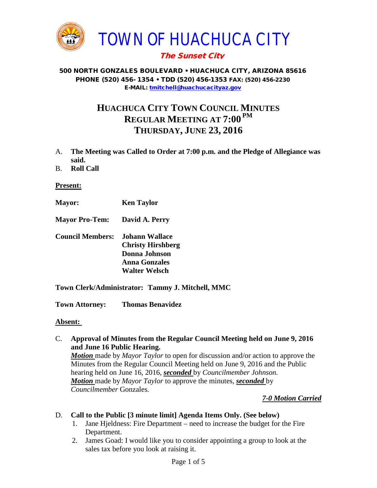

# The Sunset City

#### 500 NORTH GONZALES BOULEVARD • HUACHUCA CITY, ARIZONA 85616 PHONE (520) 456- 1354 • TDD (520) 456-1353 FAX: (520) 456-2230 E-MAIL: [tmitchell@huachucacityaz.gov](mailto:tmitchell@huachucacityaz.gov)

# **HUACHUCA CITY TOWN COUNCIL MINUTES REGULAR MEETING AT 7:00 PM THURSDAY, JUNE 23, 2016**

- A. **The Meeting was Called to Order at 7:00 p.m. and the Pledge of Allegiance was said.**
- B. **Roll Call**

#### **Present:**

- **Mayor: Ken Taylor**
- **Mayor Pro-Tem: David A. Perry**
- **Council Members: Johann Wallace Christy Hirshberg Donna Johnson Anna Gonzales Walter Welsch**
- **Town Clerk/Administrator: Tammy J. Mitchell, MMC**

**Town Attorney: Thomas Benavidez**

#### **Absent:**

C. **Approval of Minutes from the Regular Council Meeting held on June 9, 2016 and June 16 Public Hearing.**

*Motion* made by *Mayor Taylor* to open for discussion and/or action to approve the Minutes from the Regular Council Meeting held on June 9, 2016 and the Public hearing held on June 16, 2016, *seconded* by *Councilmember Johnson. Motion* made by *Mayor Taylor* to approve the minutes, *seconded* by *Councilmember* Gonzales*.*

## *7-0 Motion Carried*

#### D. **Call to the Public [3 minute limit] Agenda Items Only. (See below)**

- 1. Jane Hjeldness: Fire Department need to increase the budget for the Fire Department.
- 2. James Goad: I would like you to consider appointing a group to look at the sales tax before you look at raising it.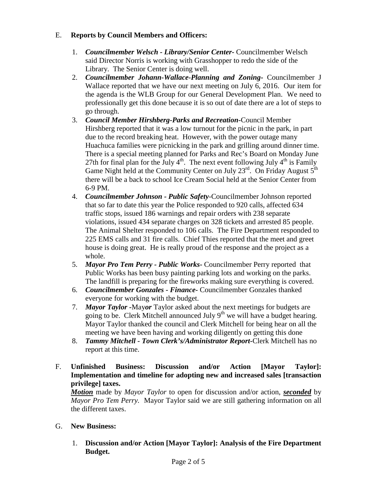## E. **Reports by Council Members and Officers:**

- 1. *Councilmember Welsch - Library/Senior Center***-** Councilmember Welsch said Director Norris is working with Grasshopper to redo the side of the Library. The Senior Center is doing well.
- 2. *Councilmember Johann-Wallace-Planning and Zoning***-** Councilmember J Wallace reported that we have our next meeting on July 6, 2016. Our item for the agenda is the WLB Group for our General Development Plan. We need to professionally get this done because it is so out of date there are a lot of steps to go through.
- 3. *Council Member Hirshberg-Parks and Recreation***-**Council Member Hirshberg reported that it was a low turnout for the picnic in the park, in part due to the record breaking heat. However, with the power outage many Huachuca families were picnicking in the park and grilling around dinner time. There is a special meeting planned for Parks and Rec's Board on Monday June 27th for final plan for the July  $4<sup>th</sup>$ . The next event following July  $4<sup>th</sup>$  is Family Game Night held at the Community Center on July  $23<sup>rd</sup>$ . On Friday August  $5<sup>th</sup>$ there will be a back to school Ice Cream Social held at the Senior Center from 6-9 PM.
- 4. *Councilmember Johnson - Public Safety-*Councilmember Johnson reported that so far to date this year the Police responded to 920 calls, affected 634 traffic stops, issued 186 warnings and repair orders with 238 separate violations, issued 434 separate charges on 328 tickets and arrested 85 people. The Animal Shelter responded to 106 calls. The Fire Department responded to 225 EMS calls and 31 fire calls. Chief Thies reported that the meet and greet house is doing great. He is really proud of the response and the project as a whole.
- 5. *Mayor Pro Tem Perry - Public Works-* Councilmember Perry reported that Public Works has been busy painting parking lots and working on the parks. The landfill is preparing for the fireworks making sure everything is covered.
- 6. *Councilmember Gonzales - Finance-* Councilmember Gonzales thanked everyone for working with the budget.
- 7. *Mayor Taylor -*May*or* Taylor asked about the next meetings for budgets are going to be. Clerk Mitchell announced July  $9<sup>th</sup>$  we will have a budget hearing. Mayor Taylor thanked the council and Clerk Mitchell for being hear on all the meeting we have been having and working diligently on getting this done
- 8. *Tammy Mitchell - Town Clerk's/Administrator Report-*Clerk Mitchell has no report at this time.
- F. **Unfinished Business: Discussion and/or Action [Mayor Taylor]: Implementation and timeline for adopting new and increased sales [transaction privilege] taxes.**

*Motion* made by *Mayor Taylor* to open for discussion and/or action, *seconded* by *Mayor Pro Tem Perry.* Mayor Taylor said we are still gathering information on all the different taxes.

# G. **New Business:**

1. **Discussion and/or Action [Mayor Taylor]: Analysis of the Fire Department Budget.**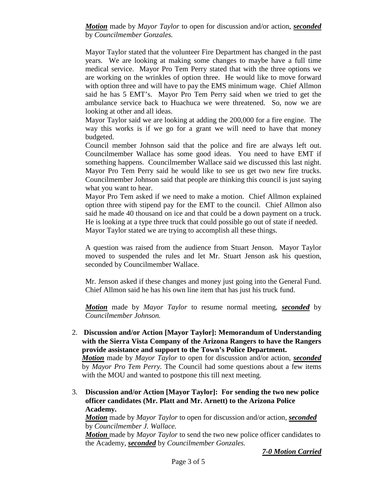*Motion* made by *Mayor Taylor* to open for discussion and/or action, *seconded* by *Councilmember Gonzales.*

Mayor Taylor stated that the volunteer Fire Department has changed in the past years. We are looking at making some changes to maybe have a full time medical service. Mayor Pro Tem Perry stated that with the three options we are working on the wrinkles of option three. He would like to move forward with option three and will have to pay the EMS minimum wage. Chief Allmon said he has 5 EMT's. Mayor Pro Tem Perry said when we tried to get the ambulance service back to Huachuca we were threatened. So, now we are looking at other and all ideas.

Mayor Taylor said we are looking at adding the 200,000 for a fire engine. The way this works is if we go for a grant we will need to have that money budgeted.

Council member Johnson said that the police and fire are always left out. Councilmember Wallace has some good ideas. You need to have EMT if something happens. Councilmember Wallace said we discussed this last night. Mayor Pro Tem Perry said he would like to see us get two new fire trucks. Councilmember Johnson said that people are thinking this council is just saying what you want to hear.

Mayor Pro Tem asked if we need to make a motion. Chief Allmon explained option three with stipend pay for the EMT to the council. Chief Allmon also said he made 40 thousand on ice and that could be a down payment on a truck. He is looking at a type three truck that could possible go out of state if needed. Mayor Taylor stated we are trying to accomplish all these things.

A question was raised from the audience from Stuart Jenson. Mayor Taylor moved to suspended the rules and let Mr. Stuart Jenson ask his question, seconded by Councilmember Wallace.

Mr. Jenson asked if these changes and money just going into the General Fund. Chief Allmon said he has his own line item that has just his truck fund.

*Motion* made by *Mayor Taylor* to resume normal meeting, *seconded* by *Councilmember Johnson.*

2. **Discussion and/or Action [Mayor Taylor]: Memorandum of Understanding with the Sierra Vista Company of the Arizona Rangers to have the Rangers provide assistance and support to the Town's Police Department.** *Motion* made by *Mayor Taylor* to open for discussion and/or action, *seconded*

by *Mayor Pro Tem Perry.* The Council had some questions about a few items with the MOU and wanted to postpone this till next meeting.

3. **Discussion and/or Action [Mayor Taylor]: For sending the two new police officer candidates (Mr. Platt and Mr. Arnett) to the Arizona Police Academy.**

*Motion* made by *Mayor Taylor* to open for discussion and/or action, *seconded* by *Councilmember J. Wallace.*

*Motion* made by *Mayor Taylor* to send the two new police officer candidates to the Academy, *seconded* by *Councilmember Gonzales.*

*7-0 Motion Carried*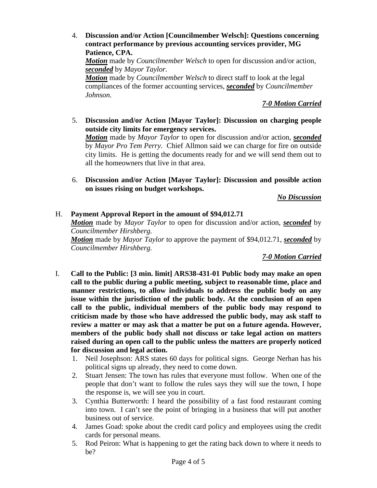4. **Discussion and/or Action [Councilmember Welsch]: Questions concerning contract performance by previous accounting services provider, MG Patience, CPA.** *Motion* made by *Councilmember Welsch* to open for discussion and/or action, *seconded* by *Mayor Taylor. Motion* made by *Councilmember Welsch* to direct staff to look at the legal compliances of the former accounting services, *seconded* by *Councilmember Johnson.*

# *7-0 Motion Carried*

- 5. **Discussion and/or Action [Mayor Taylor]: Discussion on charging people outside city limits for emergency services.** *Motion* made by *Mayor Taylor* to open for discussion and/or action, *seconded* by *Mayor Pro Tem Perry.* Chief Allmon said we can charge for fire on outside city limits. He is getting the documents ready for and we will send them out to
- 6. **Discussion and/or Action [Mayor Taylor]: Discussion and possible action on issues rising on budget workshops.**

*No Discussion*

## H. **Payment Approval Report in the amount of \$94,012.71**

all the homeowners that live in that area.

*Motion* made by *Mayor Taylor* to open for discussion and/or action, *seconded* by *Councilmember Hirshberg.*

*Motion* made by *Mayor Taylor* to approve the payment of \$94,012.71, *seconded* by *Councilmember Hirshberg.*

*7-0 Motion Carried*

- I. **Call to the Public: [3 min. limit] ARS38-431-01 Public body may make an open call to the public during a public meeting, subject to reasonable time, place and manner restrictions, to allow individuals to address the public body on any issue within the jurisdiction of the public body. At the conclusion of an open call to the public, individual members of the public body may respond to criticism made by those who have addressed the public body, may ask staff to review a matter or may ask that a matter be put on a future agenda. However, members of the public body shall not discuss or take legal action on matters raised during an open call to the public unless the matters are properly noticed for discussion and legal action.**
	- 1. Neil Josephson: ARS states 60 days for political signs. George Nerhan has his political signs up already, they need to come down.
	- 2. Stuart Jensen: The town has rules that everyone must follow. When one of the people that don't want to follow the rules says they will sue the town, I hope the response is, we will see you in court.
	- 3. Cynthia Butterworth: I heard the possibility of a fast food restaurant coming into town. I can't see the point of bringing in a business that will put another business out of service.
	- 4. James Goad: spoke about the credit card policy and employees using the credit cards for personal means.
	- 5. Rod Peiron: What is happening to get the rating back down to where it needs to be?